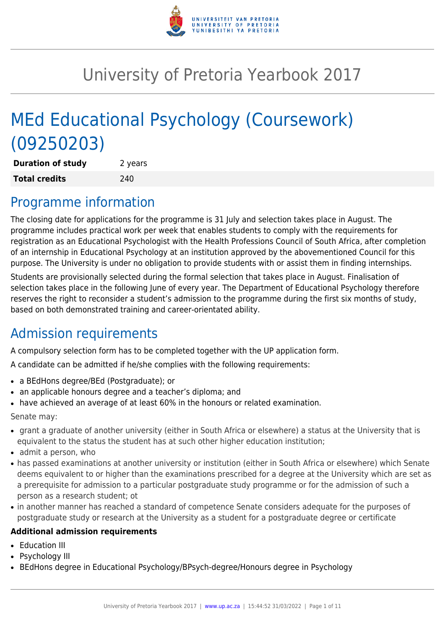

# University of Pretoria Yearbook 2017

# MEd Educational Psychology (Coursework) (09250203)

| <b>Duration of study</b> | 2 years |
|--------------------------|---------|
| <b>Total credits</b>     | 240     |

# Programme information

The closing date for applications for the programme is 31 July and selection takes place in August. The programme includes practical work per week that enables students to comply with the requirements for registration as an Educational Psychologist with the Health Professions Council of South Africa, after completion of an internship in Educational Psychology at an institution approved by the abovementioned Council for this purpose. The University is under no obligation to provide students with or assist them in finding internships.

Students are provisionally selected during the formal selection that takes place in August. Finalisation of selection takes place in the following June of every year. The Department of Educational Psychology therefore reserves the right to reconsider a student's admission to the programme during the first six months of study, based on both demonstrated training and career-orientated ability.

### Admission requirements

A compulsory selection form has to be completed together with the UP application form.

A candidate can be admitted if he/she complies with the following requirements:

- a BEdHons degree/BEd (Postgraduate); or
- an applicable honours degree and a teacher's diploma; and
- have achieved an average of at least 60% in the honours or related examination.

Senate may:

- grant a graduate of another university (either in South Africa or elsewhere) a status at the University that is equivalent to the status the student has at such other higher education institution;
- $\bullet$  admit a person, who
- has passed examinations at another university or institution (either in South Africa or elsewhere) which Senate deems equivalent to or higher than the examinations prescribed for a degree at the University which are set as a prerequisite for admission to a particular postgraduate study programme or for the admission of such a person as a research student; ot
- in another manner has reached a standard of competence Senate considers adequate for the purposes of postgraduate study or research at the University as a student for a postgraduate degree or certificate

#### **Additional admission requirements**

- Education III
- Psychology III
- BEdHons degree in Educational Psychology/BPsych-degree/Honours degree in Psychology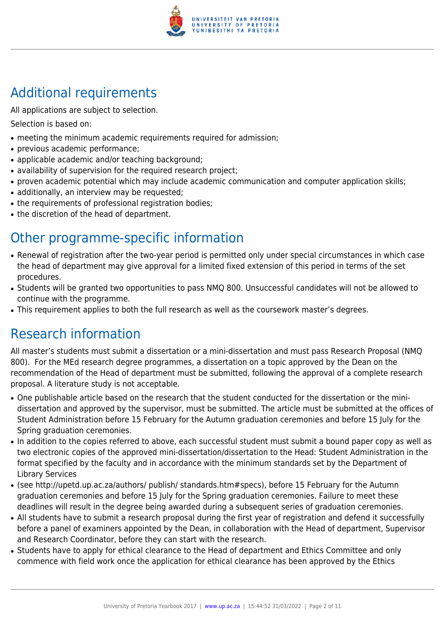

# Additional requirements

All applications are subject to selection.

Selection is based on:

- meeting the minimum academic requirements required for admission;
- previous academic performance:
- applicable academic and/or teaching background;
- availability of supervision for the required research project;
- proven academic potential which may include academic communication and computer application skills;
- additionally, an interview may be requested;
- the requirements of professional registration bodies;
- the discretion of the head of department.

# Other programme-specific information

- Renewal of registration after the two-year period is permitted only under special circumstances in which case the head of department may give approval for a limited fixed extension of this period in terms of the set procedures.
- Students will be granted two opportunities to pass NMQ 800. Unsuccessful candidates will not be allowed to continue with the programme.
- This requirement applies to both the full research as well as the coursework master's degrees.

# Research information

All master's students must submit a dissertation or a mini-dissertation and must pass Research Proposal (NMQ 800). For the MEd research degree programmes, a dissertation on a topic approved by the Dean on the recommendation of the Head of department must be submitted, following the approval of a complete research proposal. A literature study is not acceptable.

- One publishable article based on the research that the student conducted for the dissertation or the minidissertation and approved by the supervisor, must be submitted. The article must be submitted at the offices of Student Administration before 15 February for the Autumn graduation ceremonies and before 15 July for the Spring graduation ceremonies.
- In addition to the copies referred to above, each successful student must submit a bound paper copy as well as two electronic copies of the approved mini-dissertation/dissertation to the Head: Student Administration in the format specified by the faculty and in accordance with the minimum standards set by the Department of Library Services
- (see http://upetd.up.ac.za/authors/ publish/ standards.htm#specs), before 15 February for the Autumn graduation ceremonies and before 15 July for the Spring graduation ceremonies. Failure to meet these deadlines will result in the degree being awarded during a subsequent series of graduation ceremonies.
- All students have to submit a research proposal during the first year of registration and defend it successfully before a panel of examiners appointed by the Dean, in collaboration with the Head of department, Supervisor and Research Coordinator, before they can start with the research.
- Students have to apply for ethical clearance to the Head of department and Ethics Committee and only commence with field work once the application for ethical clearance has been approved by the Ethics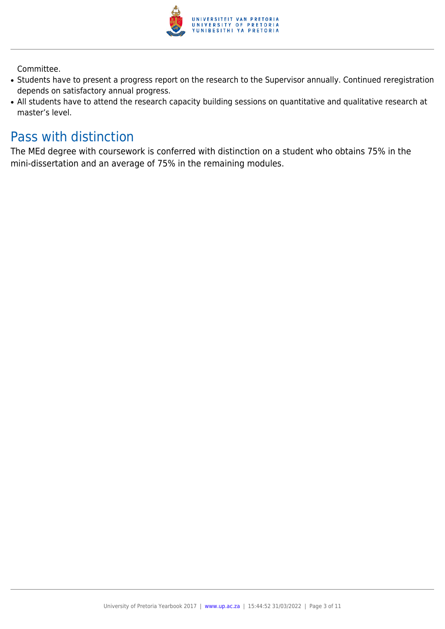

Committee.

- Students have to present a progress report on the research to the Supervisor annually. Continued reregistration depends on satisfactory annual progress.
- All students have to attend the research capacity building sessions on quantitative and qualitative research at master's level.

### Pass with distinction

The MEd degree with coursework is conferred with distinction on a student who obtains 75% in the mini-dissertation and an average of 75% in the remaining modules.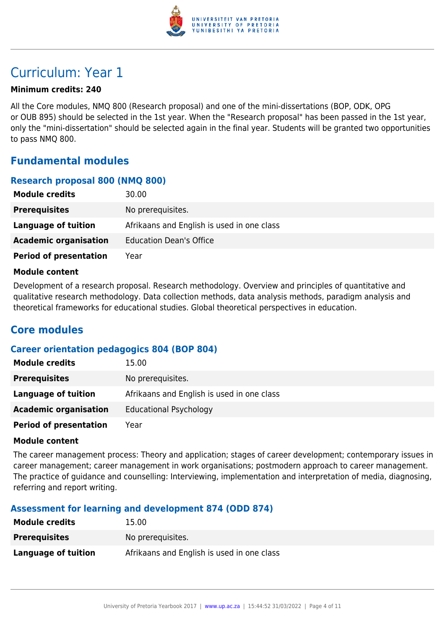

# Curriculum: Year 1

#### **Minimum credits: 240**

All the Core modules, NMQ 800 (Research proposal) and one of the mini-dissertations (BOP, ODK, OPG or OUB 895) should be selected in the 1st year. When the "Research proposal" has been passed in the 1st year, only the "mini-dissertation" should be selected again in the final year. Students will be granted two opportunities to pass NMQ 800.

### **Fundamental modules**

#### **Research proposal 800 (NMQ 800)**

| 30.00                                      |
|--------------------------------------------|
| No prerequisites.                          |
| Afrikaans and English is used in one class |
| <b>Education Dean's Office</b>             |
| Year                                       |
|                                            |

#### **Module content**

Development of a research proposal. Research methodology. Overview and principles of quantitative and qualitative research methodology. Data collection methods, data analysis methods, paradigm analysis and theoretical frameworks for educational studies. Global theoretical perspectives in education.

### **Core modules**

#### **Career orientation pedagogics 804 (BOP 804)**

| <b>Module credits</b>         | 15.00                                      |
|-------------------------------|--------------------------------------------|
| <b>Prerequisites</b>          | No prerequisites.                          |
| Language of tuition           | Afrikaans and English is used in one class |
| <b>Academic organisation</b>  | <b>Educational Psychology</b>              |
| <b>Period of presentation</b> | Year                                       |

#### **Module content**

The career management process: Theory and application; stages of career development; contemporary issues in career management; career management in work organisations; postmodern approach to career management. The practice of guidance and counselling: Interviewing, implementation and interpretation of media, diagnosing, referring and report writing.

#### **Assessment for learning and development 874 (ODD 874)**

| <b>Module credits</b> | 15.00                                      |
|-----------------------|--------------------------------------------|
| <b>Prerequisites</b>  | No prerequisites.                          |
| Language of tuition   | Afrikaans and English is used in one class |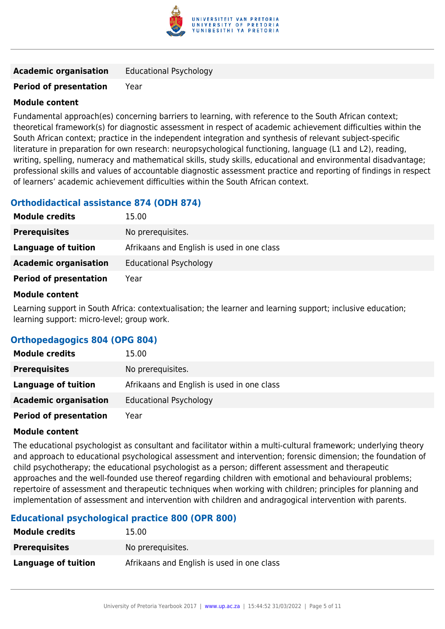

| <b>Academic organisation</b> | <b>Educational Psychology</b> |
|------------------------------|-------------------------------|
|------------------------------|-------------------------------|

#### **Module content**

Fundamental approach(es) concerning barriers to learning, with reference to the South African context; theoretical framework(s) for diagnostic assessment in respect of academic achievement difficulties within the South African context; practice in the independent integration and synthesis of relevant subject-specific literature in preparation for own research: neuropsychological functioning, language (L1 and L2), reading, writing, spelling, numeracy and mathematical skills, study skills, educational and environmental disadvantage; professional skills and values of accountable diagnostic assessment practice and reporting of findings in respect of learners' academic achievement difficulties within the South African context.

#### **Orthodidactical assistance 874 (ODH 874)**

| <b>Module credits</b>         | 15.00                                      |
|-------------------------------|--------------------------------------------|
| <b>Prerequisites</b>          | No prerequisites.                          |
| Language of tuition           | Afrikaans and English is used in one class |
| <b>Academic organisation</b>  | <b>Educational Psychology</b>              |
| <b>Period of presentation</b> | Year                                       |

#### **Module content**

Learning support in South Africa: contextualisation; the learner and learning support; inclusive education; learning support: micro-level; group work.

#### **Orthopedagogics 804 (OPG 804)**

| <b>Module credits</b>         | 15.00                                      |
|-------------------------------|--------------------------------------------|
| <b>Prerequisites</b>          | No prerequisites.                          |
| Language of tuition           | Afrikaans and English is used in one class |
| <b>Academic organisation</b>  | <b>Educational Psychology</b>              |
| <b>Period of presentation</b> | Year                                       |

#### **Module content**

The educational psychologist as consultant and facilitator within a multi-cultural framework; underlying theory and approach to educational psychological assessment and intervention; forensic dimension; the foundation of child psychotherapy; the educational psychologist as a person; different assessment and therapeutic approaches and the well-founded use thereof regarding children with emotional and behavioural problems; repertoire of assessment and therapeutic techniques when working with children; principles for planning and implementation of assessment and intervention with children and andragogical intervention with parents.

#### **Educational psychological practice 800 (OPR 800)**

| <b>Module credits</b> | 15.00                                      |
|-----------------------|--------------------------------------------|
| <b>Prerequisites</b>  | No prerequisites.                          |
| Language of tuition   | Afrikaans and English is used in one class |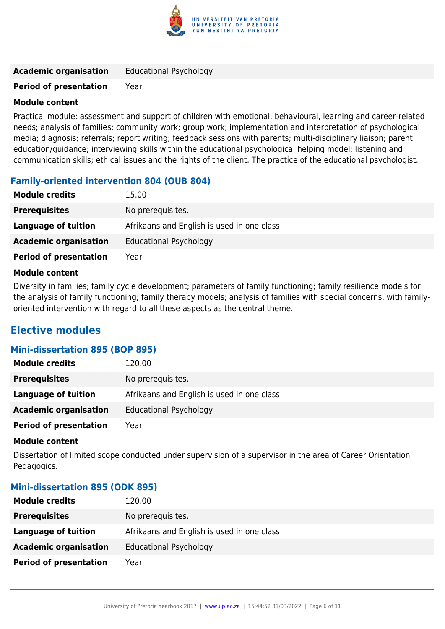

| <b>Academic organisation</b> | <b>Educational Psychology</b> |
|------------------------------|-------------------------------|
|------------------------------|-------------------------------|

#### **Module content**

Practical module: assessment and support of children with emotional, behavioural, learning and career-related needs; analysis of families; community work; group work; implementation and interpretation of psychological media; diagnosis; referrals; report writing; feedback sessions with parents; multi-disciplinary liaison; parent education/guidance; interviewing skills within the educational psychological helping model; listening and communication skills; ethical issues and the rights of the client. The practice of the educational psychologist.

#### **Family-oriented intervention 804 (OUB 804)**

| <b>Module credits</b>         | 15.00                                      |
|-------------------------------|--------------------------------------------|
| <b>Prerequisites</b>          | No prerequisites.                          |
| Language of tuition           | Afrikaans and English is used in one class |
| <b>Academic organisation</b>  | <b>Educational Psychology</b>              |
| <b>Period of presentation</b> | Year                                       |

#### **Module content**

Diversity in families; family cycle development; parameters of family functioning; family resilience models for the analysis of family functioning; family therapy models; analysis of families with special concerns, with familyoriented intervention with regard to all these aspects as the central theme.

### **Elective modules**

#### **Mini-dissertation 895 (BOP 895)**

| <b>Module credits</b>         | 120.00                                     |
|-------------------------------|--------------------------------------------|
| <b>Prerequisites</b>          | No prerequisites.                          |
| Language of tuition           | Afrikaans and English is used in one class |
| <b>Academic organisation</b>  | <b>Educational Psychology</b>              |
| <b>Period of presentation</b> | Year                                       |

#### **Module content**

Dissertation of limited scope conducted under supervision of a supervisor in the area of Career Orientation Pedagogics.

#### **Mini-dissertation 895 (ODK 895)**

| <b>Module credits</b>         | 120.00                                     |
|-------------------------------|--------------------------------------------|
| <b>Prerequisites</b>          | No prerequisites.                          |
| Language of tuition           | Afrikaans and English is used in one class |
| <b>Academic organisation</b>  | <b>Educational Psychology</b>              |
| <b>Period of presentation</b> | Year                                       |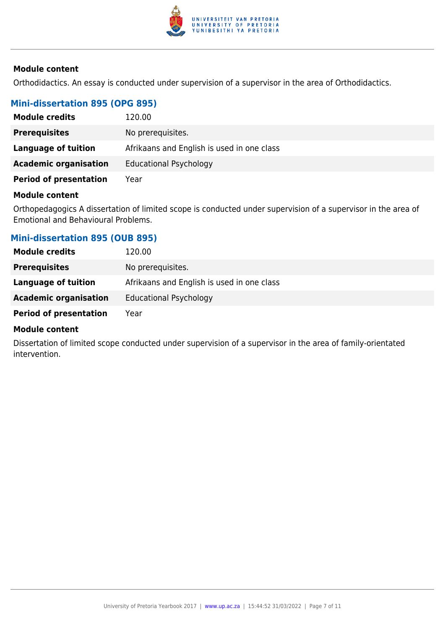

#### **Module content**

Orthodidactics. An essay is conducted under supervision of a supervisor in the area of Orthodidactics.

#### **Mini-dissertation 895 (OPG 895)**

| <b>Module credits</b>         | 120.00                                     |
|-------------------------------|--------------------------------------------|
| <b>Prerequisites</b>          | No prerequisites.                          |
| Language of tuition           | Afrikaans and English is used in one class |
| <b>Academic organisation</b>  | <b>Educational Psychology</b>              |
| <b>Period of presentation</b> | Year                                       |

#### **Module content**

Orthopedagogics A dissertation of limited scope is conducted under supervision of a supervisor in the area of Emotional and Behavioural Problems.

#### **Mini-dissertation 895 (OUB 895)**

| <b>Module credits</b>         | 120.00                                     |
|-------------------------------|--------------------------------------------|
| <b>Prerequisites</b>          | No prerequisites.                          |
| Language of tuition           | Afrikaans and English is used in one class |
| <b>Academic organisation</b>  | <b>Educational Psychology</b>              |
| <b>Period of presentation</b> | Year                                       |

#### **Module content**

Dissertation of limited scope conducted under supervision of a supervisor in the area of family-orientated intervention.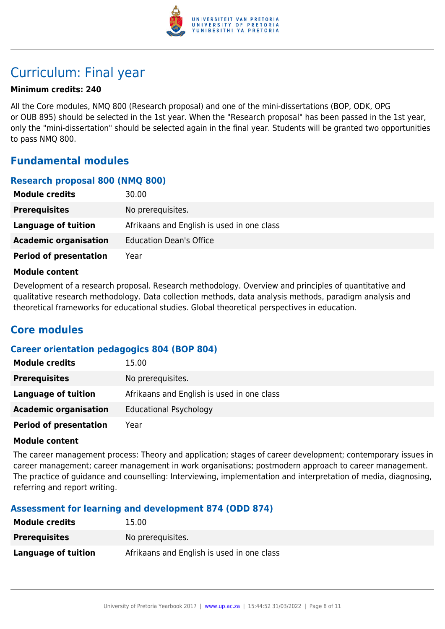

# Curriculum: Final year

#### **Minimum credits: 240**

All the Core modules, NMQ 800 (Research proposal) and one of the mini-dissertations (BOP, ODK, OPG or OUB 895) should be selected in the 1st year. When the "Research proposal" has been passed in the 1st year, only the "mini-dissertation" should be selected again in the final year. Students will be granted two opportunities to pass NMQ 800.

### **Fundamental modules**

#### **Research proposal 800 (NMQ 800)**

| 30.00                                      |
|--------------------------------------------|
| No prerequisites.                          |
| Afrikaans and English is used in one class |
| <b>Education Dean's Office</b>             |
| Year                                       |
|                                            |

#### **Module content**

Development of a research proposal. Research methodology. Overview and principles of quantitative and qualitative research methodology. Data collection methods, data analysis methods, paradigm analysis and theoretical frameworks for educational studies. Global theoretical perspectives in education.

### **Core modules**

#### **Career orientation pedagogics 804 (BOP 804)**

| <b>Module credits</b>         | 15.00                                      |
|-------------------------------|--------------------------------------------|
| <b>Prerequisites</b>          | No prerequisites.                          |
| Language of tuition           | Afrikaans and English is used in one class |
| <b>Academic organisation</b>  | <b>Educational Psychology</b>              |
| <b>Period of presentation</b> | Year                                       |

#### **Module content**

The career management process: Theory and application; stages of career development; contemporary issues in career management; career management in work organisations; postmodern approach to career management. The practice of guidance and counselling: Interviewing, implementation and interpretation of media, diagnosing, referring and report writing.

#### **Assessment for learning and development 874 (ODD 874)**

| <b>Module credits</b> | 15.00                                      |
|-----------------------|--------------------------------------------|
| <b>Prerequisites</b>  | No prereguisites.                          |
| Language of tuition   | Afrikaans and English is used in one class |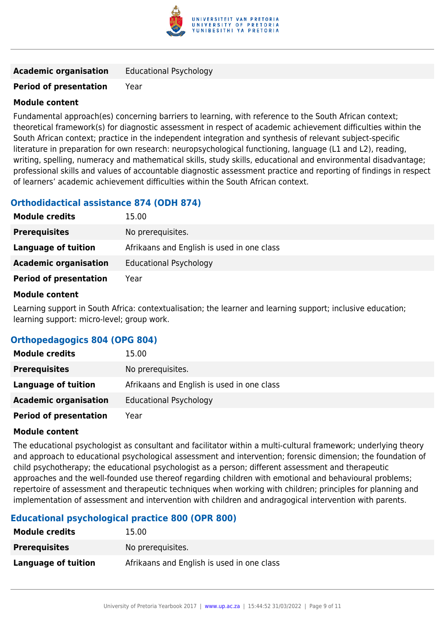

| <b>Academic organisation</b> | <b>Educational Psychology</b> |
|------------------------------|-------------------------------|
|------------------------------|-------------------------------|

#### **Module content**

Fundamental approach(es) concerning barriers to learning, with reference to the South African context; theoretical framework(s) for diagnostic assessment in respect of academic achievement difficulties within the South African context; practice in the independent integration and synthesis of relevant subject-specific literature in preparation for own research: neuropsychological functioning, language (L1 and L2), reading, writing, spelling, numeracy and mathematical skills, study skills, educational and environmental disadvantage; professional skills and values of accountable diagnostic assessment practice and reporting of findings in respect of learners' academic achievement difficulties within the South African context.

#### **Orthodidactical assistance 874 (ODH 874)**

| <b>Module credits</b>         | 15.00                                      |
|-------------------------------|--------------------------------------------|
| <b>Prerequisites</b>          | No prerequisites.                          |
| Language of tuition           | Afrikaans and English is used in one class |
| <b>Academic organisation</b>  | <b>Educational Psychology</b>              |
| <b>Period of presentation</b> | Year                                       |

#### **Module content**

Learning support in South Africa: contextualisation; the learner and learning support; inclusive education; learning support: micro-level; group work.

#### **Orthopedagogics 804 (OPG 804)**

| <b>Module credits</b>         | 15.00                                      |
|-------------------------------|--------------------------------------------|
| <b>Prerequisites</b>          | No prerequisites.                          |
| Language of tuition           | Afrikaans and English is used in one class |
| <b>Academic organisation</b>  | <b>Educational Psychology</b>              |
| <b>Period of presentation</b> | Year                                       |

#### **Module content**

The educational psychologist as consultant and facilitator within a multi-cultural framework; underlying theory and approach to educational psychological assessment and intervention; forensic dimension; the foundation of child psychotherapy; the educational psychologist as a person; different assessment and therapeutic approaches and the well-founded use thereof regarding children with emotional and behavioural problems; repertoire of assessment and therapeutic techniques when working with children; principles for planning and implementation of assessment and intervention with children and andragogical intervention with parents.

#### **Educational psychological practice 800 (OPR 800)**

| <b>Module credits</b> | 15.00                                      |
|-----------------------|--------------------------------------------|
| <b>Prerequisites</b>  | No prerequisites.                          |
| Language of tuition   | Afrikaans and English is used in one class |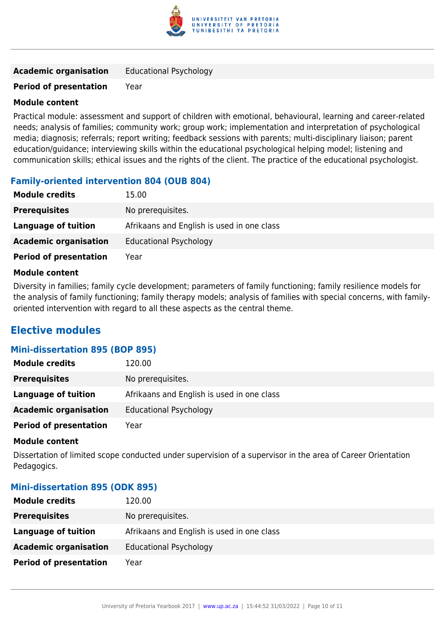

| <b>Academic organisation</b> | <b>Educational Psychology</b> |
|------------------------------|-------------------------------|
|------------------------------|-------------------------------|

#### **Module content**

Practical module: assessment and support of children with emotional, behavioural, learning and career-related needs; analysis of families; community work; group work; implementation and interpretation of psychological media; diagnosis; referrals; report writing; feedback sessions with parents; multi-disciplinary liaison; parent education/guidance; interviewing skills within the educational psychological helping model; listening and communication skills; ethical issues and the rights of the client. The practice of the educational psychologist.

#### **Family-oriented intervention 804 (OUB 804)**

| <b>Module credits</b>         | 15.00                                      |
|-------------------------------|--------------------------------------------|
| <b>Prerequisites</b>          | No prerequisites.                          |
| Language of tuition           | Afrikaans and English is used in one class |
| <b>Academic organisation</b>  | <b>Educational Psychology</b>              |
| <b>Period of presentation</b> | Year                                       |

#### **Module content**

Diversity in families; family cycle development; parameters of family functioning; family resilience models for the analysis of family functioning; family therapy models; analysis of families with special concerns, with familyoriented intervention with regard to all these aspects as the central theme.

### **Elective modules**

#### **Mini-dissertation 895 (BOP 895)**

| <b>Module credits</b>         | 120.00                                     |
|-------------------------------|--------------------------------------------|
| <b>Prerequisites</b>          | No prerequisites.                          |
| Language of tuition           | Afrikaans and English is used in one class |
| <b>Academic organisation</b>  | <b>Educational Psychology</b>              |
| <b>Period of presentation</b> | Year                                       |

#### **Module content**

Dissertation of limited scope conducted under supervision of a supervisor in the area of Career Orientation Pedagogics.

#### **Mini-dissertation 895 (ODK 895)**

| <b>Module credits</b>         | 120.00                                     |
|-------------------------------|--------------------------------------------|
| <b>Prerequisites</b>          | No prerequisites.                          |
| Language of tuition           | Afrikaans and English is used in one class |
| <b>Academic organisation</b>  | <b>Educational Psychology</b>              |
| <b>Period of presentation</b> | Year                                       |